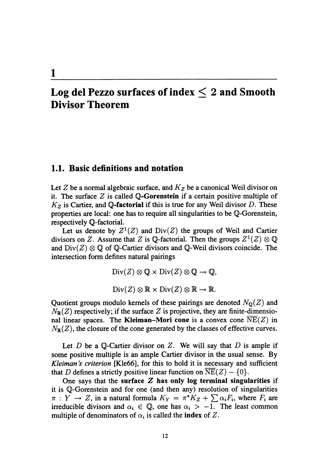# Log del Pezzo surfaces of index  $\leq 2$  and Smooth Divisor Theorem

#### 1.1. Basic definitions and notation

1

Let Z be a normal algebraic surface, and  $K_{Z}$  be a canonical Weil divisor on it. The surface  $Z$  is called  $\mathbb{Q}$ -Gorenstein if a certain positive multiple of  $K_{Z}$  is Cartier, and Q-factorial if this is true for any Weil divisor D. These properties are local: one has to require all singularities to be  $\mathbb{Q}$ -Gorenstein, respectively  $\mathbb{Q}$ -factorial.

Let us denote by  $Z^{1}(Z)$  and  $Div(Z)$  the groups of Weil and Cartier divisors on Z. Assume that Z is Q-factorial. Then the groups  $Z^{1}(Z)\otimes \mathbb{Q}$ and  $\mathrm{Div}(Z)\otimes \mathbb{Q}$  of  $\mathbb{Q}$ -Cartier divisors and  $\mathbb{Q}$ -Weil divisors coincide. The intersection form defines natural pairings

> $Div(Z)\otimes \mathbb{Q}\times Div(Z)\otimes \mathbb{Q}\rightarrow \mathbb{Q},$  $Div(Z)\otimes \mathbb{R}\times Div(Z)\otimes \mathbb{R}\rightarrow \mathbb{R}.$

Quotient groups modulo kernels of these pairings are denoted  $N_{\mathbb{Q}}(Z)$  and  $N_{\mathbb{R}}(Z)$  respectively; if the surface Z is projective, they are finite-dimensional linear spaces. The Kleiman-Mori cone is a convex cone  $NE(Z)$  in  $N_{\mathbb{R}}(Z)$ , the closure of the cone generated by the classes of effective curves.

Let D be a Q-Cartier divisor on Z. We will say that D is ample if some positive multiple is an ample Cartier divisor in the usual sense. By Kleiman's criterion [Kle66], for this to hold it is necessary and sufficient that D defines a strictly positive linear function on  $\overline{\text{NE}}(Z)-\{0\}.$ 

One says that the surface  $Z$  has only log terminal singularities if it is  $\mathbb{Q}$ -Gorenstein and for one (and then any) resolution of singularities  $\pi : Y \rightarrow Z$ , in a natural formula  $K_{Y}=\pi^{*}K_{Z}+\sum\alpha_{i}F_{i}$ , where  $F_{i}$  are irreducible divisors and  $\alpha_{i} \in \mathbb{Q}$ , one has  $\alpha_{i}>-1$ . The least common multiple of denominators of  $\alpha_{i}$  is called the index of Z.

12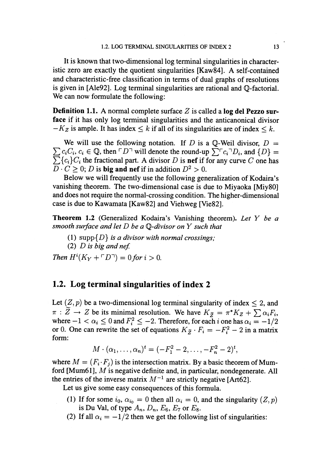It is known that two-dimensional log terminal singularities in characteristic zero are exactly the quotient singularities [Kaw84]. A self-contained and characteristic-free classification in terms of dual graphs of resolutions is given in [Ale92]. Log terminal singularities are rational and  $\mathbb{Q}$ -factorial. We can now formulate the following:

**Definition 1.1.** A normal complete surface Z is called a  $\log$  del Pezzo surface if it has only log terminal singularities and the anticanonical divisor  $-K_{Z}$  is ample. It has index  $\leq k$  if all of its singularities are of index  $\leq k$ .

We will use the following notation. If D is a  $\mathbb{Q}$ -Weil divisor,  $D=$  $\sum c_{i}C_{i}$ ,  $c_{i} \in \mathbb{Q}$ , then  $\ulcorner D^{\neg}$  will denote the round-up  $\sum^{\neg}c_{i}^{\neg}D_{i}$ , and  $\{D\}$  =  $\sum\{c_{i}\}C_{i}$  the fractional part. A divisor D is nef if for any curve C one has  $\overline{D}\cdot C\geq 0;$  D is big and nef if in addition  $D^{2}>0$ .

Below we will frequently use the following generalization of Kodaira's vanishing theorem. The two-dimensional case is due to Miyaoka [Miy80] and does not require the normal-crossing condition. The higher-dimensional case is due to Kawamata [Kaw82] and Viehweg [Vie82].

**Theorem 1.2** (Generalized Kodaira's Vanishing theorem). Let  $Y$  be a smooth surface and let  $D$  be a  $\mathbb{Q}\text{-divisor}$  on  $Y$  such that

- (1)  $\text{supp}\{D\}$  is a divisor with normal crossings;
- (2)  $D$  is big and nef.

Then  $H^{i}(K_{Y}+\ulcorner D\urcorner)=0$  for  $i>0$ .

### 1.2. Log terminal singularities of index 2

Let  $(Z, p)$  be a two-dimensional log terminal singularity of index  $\leq 2$ , and  $\pi : Z \rightarrow Z$  be its minimal resolution. We have  $K_{\widetilde{Z}}=\pi^{*}K_{Z}+\sum\alpha_{i}F_{i}$ , where  $-1 < \alpha_{i} \leq 0$  and  $F_{i}^{2} \leq -2$ . Therefore, for each i one has  $\alpha_{i}=-1/2$ or 0. One can rewrite the set of equations  $K_{\tilde{Z}}\cdot F_{i}=-F_{i}^{2}-2$  in a matrix form:

$$
M \cdot (\alpha_1, \ldots, \alpha_n)^t = (-F_1^2 - 2, \ldots, -F_n^2 - 2)^t,
$$

where  $M=(F_{i}\cdot F_{j})$  is the intersection matrix. By a basic theorem of Mumford [Mum61],  $M$  is negative definite and, in particular, nondegenerate. All the entries of the inverse matrix  $M^{-1}$  are strictly negative [Art62].

Let us give some easy consequences of this formula.

- (1) If for some  $i_{0}$ ,  $\alpha_{i_{0}}=0$  then all  $\alpha_{i}=0$ , and the singularity  $(Z,p)$ is Du Val, of type  $A_{n}$ ,  $D_{n}$ ,  $E_{6}$ ,  $E_{7}$  or  $E_{8}$ .
- (2) If all  $\alpha_{i}=-1/2$  then we get the following list of singularities: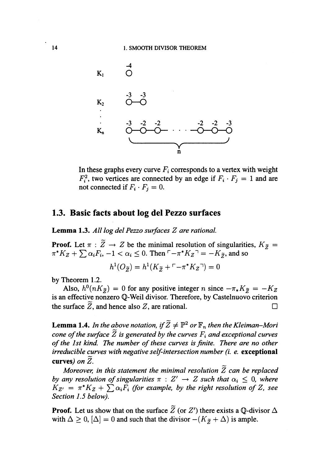

In these graphs every curve  $F_{i}$  corresponds to a vertex with weight  $F_{i}^{2}$ , two vertices are connected by an edge if  $F_{i}\cdot F_{j}=1$  and are not connected if  $F_{i}\cdot F_{j}=0.$ 

### 1.3. Basic facts about log del Pezzo surfaces

Lemma 1.3. All  $log$  del Pezzo surfaces  $Z$  are rational.

**Proof.** Let  $\pi : \overline{Z} \rightarrow Z$  be the minimal resolution of singularities,  $K_{\overline{Z}}=$  $\pi^{*}K_{Z}+\sum\alpha_{i}F_{i}, -1<\alpha_{i}\leq 0$ . Then  $\neg\neg\neg^{*}K_{Z}\neg\neg=K_{\tilde{Z}}$ , and so

$$
h^1(O_{\widetilde{Z}}) = h^1(K_{\widetilde{Z}} + \ulcorner - \pi^*K_Z \urcorner) = 0
$$

by Theorem 1.2.

Also,  $h^{0}(nK_{\tilde{Z}})=0$  for any positive integer  $n$  since  $-\pi_{*}K_{\tilde{Z}}=-K_{Z}$ is an effective nonzero  $\mathbb{Q}$ -Weil divisor. Therefore, by Castelnuovo criterion the surface  $\mathbb{Z}$ , and hence also  $\mathbb{Z}$ , are rational.  $\Box$ 

**Lemma 1.4.** In the above notation, if  $\widetilde{Z} \neq \mathbb{P}^{2}$  or  $\mathbb{F}_{n}$  then the Kleiman-Mori cone of the surface  $\overline{Z}$  is generated by the curves  $F_{i}$  and exceptional curves of the 1st kind. The number of these curves is finite. There are no other irreducible curves with negative self-intersection number (i. e.  $\,$  exc $\,$ e $\,$ ption $\,$ al $\,$ curves) on  $Z$ .

Moreover, in this statement the minimal resolution  $\widetilde{Z}$  can be replaced by any resolution of singularities  $\pi$  :  $Z'\rightarrow Z$  such that  $\alpha_{i}\leq 0$ , where  $K_{Z'}=\,\pi^{*}K_{Z}+\sum\alpha_{i}F_{i}$  (for example, by the right resolution of Z, see Section 1.5 below).

**Proof.** Let us show that on the surface  $Z$  (or  $Z'$ ) there exists a Q-divisor  $\Delta$ with  $\Delta\geq 0$ ,  $[\Delta]=0$  and such that the divisor  $-(K_{\tilde{Z}}+\Delta)$  is ample.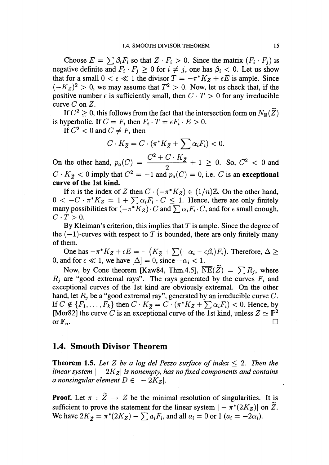Choose  $E=\sum\beta_{i}F_{i}$  so that  $Z\cdot F_{i}>0$ . Since the matrix  $(F_{i}\cdot F_{j})$  is negative definite and  $F_{i}\cdot F_{j}\geq 0$  for  $i\neq j$ , one has  $\beta_{i}<0$ . Let us show that for a small  $0<\epsilon\ll 1$  the divisor  $T=-\pi^{*}K_{Z}+\epsilon E$  is ample. Since  $(-K_{Z})^{2}>0$ , we may assume that  $T^{2}>0$ . Now, let us check that, if the positive number  $\epsilon$  is sufficiently small, then  $C\cdot T>0$  for any irreducible curve  $C$  on  $Z$ .

If  $C^{2}\geq 0$ , this follows from the fact that the intersection form on  $N_{\mathbb{R}}(\mathcal{Z})$ is hyperbolic. If  $C=F_{i}$  then  $F_{i}\cdot T=\epsilon F_{i}\cdot E>0.$ 

If  $C^{2} < 0$  and  $C \neq F_{i}$  then

$$
C \cdot K_{\widetilde{Z}} = C \cdot (\pi^* K_{\widetilde{Z}} + \sum \alpha_i F_i) < 0.
$$

On the other hand,  $p_{a}(C)=\frac{\sqrt{C^{2}+C^{2}+C^{2}}}{2}+1\geq 0$ . So,  $C^{2}<0$  and  $C\cdot K_{\widetilde{Z}}< 0$  imply that  $C^{2}=-1$  and  $p_{a}(C)=0$ , i.e.  $C$  is an exceptional curve of the 1st kind.

If n is the index of Z then  $C\cdot(-\pi^{*}K_{Z})\in(1/n)\mathbb{Z}$ . On the other hand,  $0 < -C \cdot \pi^{*}K_{Z} = 1+\sum\alpha_{i}F_{i} \cdot C \leq 1$ . Hence, there are only finitely many possibilities for  $(-\pi^{*}K_{Z})\cdot C$  and  $\sum\alpha_{i}F_{i}\cdot C,$  and for  $\epsilon$  small enough,  $C\cdot T>0.$ 

By Kleiman's criterion, this implies that  $T$  is ample. Since the degree of the  $(-1)$ -curves with respect to T is bounded, there are only finitely many of them.

One has  $-\pi^{*}K_{Z}+\epsilon E=-\left(K_{\tilde{Z}}+\sum(-\alpha_{i}-\epsilon\beta_{i})F_{i}\right)$ . Therefore,  $\Delta\geq\epsilon_{i}$ 0, and for  $\epsilon \ll 1$ , we have  $[\Delta]=0$ , since  $-\alpha_{i} < 1$ .

Now, by Cone theorem [Kaw84, Thm.4.5],  $\overline{\text{NE}}(Z) = \sum R_{j}$ , where  $R_{j}$  are "good extremal rays". The rays generated by the curves  $F_{i}$  and exceptional curves of the lst kind are obviously extremal. On the other hand, let  $R_{j}$  be a "good extremal ray", generated by an irreducible curve  $C$ . If  $C \notin \{F_{1}, \ldots, F_{k}\}$  then  $C\cdot K_{\tilde{Z}}=C\cdot(\pi^{*}K_{Z}+\sum\alpha_{i}F_{i})<0$ . Hence, by [Mor82] the curve C is an exceptional curve of the 1st kind, unless  $Z \simeq \mathbb{P}^{2}$ or  $\mathbb{F}_{n}$ .

#### 1.4. Smooth Divisor Theorem

**Theorem 1.5.** Let Z be a log del Pezzo surface of index  $\leq 2$ . Then the linear system  $|-2K_{Z}|$  is nonempty, has no fixed components and contains a nonsingular element  $D \in |-2K_{Z}|$ .

**Proof.** Let  $\pi : Z \rightarrow Z$  be the minimal resolution of singularities. It is sufficient to prove the statement for the linear system  $|-\tilde{\pi^{*}}(2K_{Z})|$  on  $\tilde{Z}$ . We have  $2K_{\tilde{Z}}=\pi^{*}(2K_{Z})-\sum a_{i}F_{i}$ , and all  $a_{i}=0$  or 1  $(a_{i}=-2\alpha_{i})$ .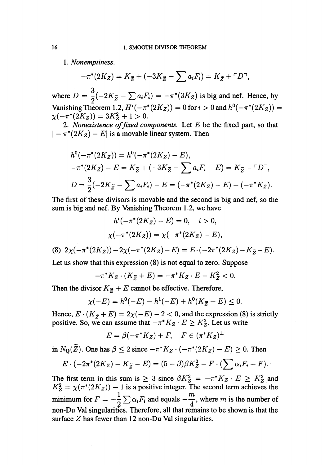1. Nonemptiness.

$$
-\pi^*(2K_Z) = K_{\widetilde{Z}} + (-3K_{\widetilde{Z}} - \sum a_i F_i) = K_{\widetilde{Z}} + \ulcorner D \urcorner,
$$

where  $D=\frac{3}{2}(-2K_{\tilde{Z}}-\sum a_{i}F_{i})=-\pi^{*}(3K_{Z})$  is big and nef. Hence, by Vanishing Theorem 1.2,  $H^{i}(-\pi^{*}(2K_{Z}))=0$  for  $i>0$  and  $h^{0}(-\pi^{*}(2K_{Z}))=$  $\chi(-\pi^{*}(2K_{Z}))=3K_{Z}^{2}+1>0.$ 

2. Nonexistence of fixed components. Let  $E$  be the fixed part, so that  $|-\pi^{*}(2K_{Z})-E|$  is a movable linear system. Then

$$
h^{0}(-\pi^{*}(2K_{Z})) = h^{0}(-\pi^{*}(2K_{Z}) - E),
$$
  

$$
-\pi^{*}(2K_{Z}) - E = K_{\tilde{Z}} + (-3K_{\tilde{Z}} - \sum a_{i}F_{i} - E) = K_{\tilde{Z}} + \Gamma D^{-},
$$
  

$$
D = \frac{3}{2}(-2K_{\tilde{Z}} - \sum a_{i}F_{i}) - E = (-\pi^{*}(2K_{Z}) - E) + (-\pi^{*}K_{Z}).
$$

The first of these divisors is movable and the second is big and nef, so the sum is big and nef. By Vanishing Theorem 1.2, we have

$$
h^{i}(-\pi^*(2K_Z) - E) = 0, \quad i > 0,
$$
  

$$
\chi(-\pi^*(2K_Z)) = \chi(-\pi^*(2K_Z) - E),
$$

(8)  $2\chi(-\pi^{*}(2K_{Z}))-2\chi(-\pi^{*}(2K_{Z})-E)=E\cdot(-2\pi^{*}(2K_{Z})-K_{\tilde{Z}}-E) .$ 

Let us show that this expression (8) is not equal to zero. Suppose

$$
-\pi^*K_Z \cdot (K_{\widetilde{Z}} + E) = -\pi^*K_Z \cdot E - K_Z^2 < 0.
$$

Then the divisor  $K_{\tilde{Z}}+E$  cannot be effective. Therefore,

$$
\chi(-E) = h^0(-E) - h^1(-E) + h^0(K_{\widetilde{Z}} + E) \le 0.
$$

Hence,  $E\cdot(K_{\tilde{Z}}+E)=2\chi(-E)-2<0$ , and the expression (8) is strictly positive. So, we can assume that  $-\pi^{*}K_{Z}\cdot E\geq K_{Z}^{2}$ . Let us write

$$
E = \beta(-\pi^*K_Z) + F, \quad F \in (\pi^*K_Z)^\perp
$$

in  $N_{\mathbb{Q}}(Z)$ . One has  $\beta\leq 2$  since  $-\pi^{*}K_{Z}\cdot(-\pi^{*}(2K_{Z})-E)\geq 0$ . Then

$$
E\cdot(-2\pi^*(2K_Z)-K_{\widetilde{Z}}-E)=(5-\beta)\beta K_Z^2-F\cdot(\sum\alpha_iF_i+F).
$$

The first term in this sum is  $\geq 3$  since  $\beta K_{Z}^{2}=-\pi^{*}K_{Z} \cdot E\geq K_{Z}^{2}$  and  $K_{Z}^{2}=\chi(\pi^{*}(2K_{Z}))-1$  is a positive integer. The second term achieves the minimum for  $F=-\frac{1}{2}\sum\alpha_{i}F_{i}$  and equals  $-\frac{m}{4}$ , where m is the number of non-Du Val singulanities. Therefore, all that remains to be shown is that the surface  $Z$  has fewer than 12 non-Du Val singularities.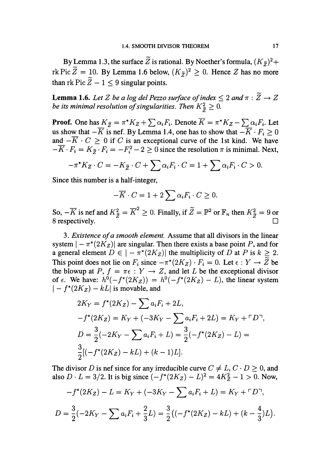By Lemma 1.3, the surface  $\widetilde{Z}$  is rational. By Noether's formula,  $(K_{\widetilde{Z}})^{2}+$ rk Pic  $Z=10$ . By Lemma 1.6 below,  $(K_{\tilde{Z}})^{2}\geq 0$ . Hence  $Z$  has no more than  $rk Pic \t{Z}-1<9$  singular points.

**Lemma 1.6.** Let Z be a log del Pezzo surface of index  $\leq 2$  and  $\pi : Z \rightarrow Z$ be its minimal resolution of singularities. Then  $K_{\tilde{z}}^{2}\geq 0$ .

**Proof.** One has  $K_{\tilde{Z}}=\pi^{*}K_{Z}+\sum\alpha_{i}F_{i}$ . Denote  $K=\pi^{*}K_{Z}-\sum\alpha_{i}F_{i}$ . Let us show that  $-\overline{K}$  is nef. By Lemma 1.4, one has to show that  $-\overline{K}\cdot F_{i}\geq 0$ and  $-\overline{K} \cdot C \geq 0$  if C is an exceptional curve of the 1st kind. We have  $-\overline{K}\cdot F_{i}=K_{\tilde{Z}}\cdot F_{i}=-F_{i}^{2}-2\geq 0$  since the resolution  $\pi$  is minimal. Next,

$$
-\pi^*K_Z \cdot C = -K_{\widetilde{Z}} \cdot C + \sum \alpha_i F_i \cdot C = 1 + \sum \alpha_i F_i \cdot C > 0.
$$

Since this number is a half-integer,

$$
-\overline{K} \cdot C = 1 + 2 \sum \alpha_i F_i \cdot C \ge 0.
$$

So,  $-\overline{K}$  is nef and  $K_{\tilde{Z}}^{2}=\overline{K}^{2}\geq 0$ . Finally, if  $\overline{Z}=\mathbb{P}^{2}$  or  $\mathbb{F}_{n}$  then  $K_{\tilde{Z}}^{2}=9$  or 8 respectively.

3. Existence of a smooth element. Assume that all divisors in the linear system  $|-\pi^{*}(2K_{Z})|$  are singular. Then there exists a base point P, and for a general element  $D \in |-\pi^{*}(2K_{Z})|$  the multiplicity of  $\bar{D}$  at  $P$  is  $k\geq 2$ . This point does not lie on  $F_{i}$  since  $-\pi^{*}(2K_{Z})\cdot F_{i}=0$ . Let  $\epsilon : Y \rightarrow Z$  be the blowup at  $P, f = \pi\epsilon : Y \rightarrow Z$ , and let L be the exceptional divisor of  $\epsilon$ . We have:  $h^{0}(-f^{*}(2K_{Z}))=h^{0}(-f^{*}(2K_{Z})-L)$ , the linear system  $|-f^{*}(2K_{Z})-kL|$  is movable, and

$$
2K_Y = f^*(2K_Z) - \sum a_i F_i + 2L,
$$
  
\n
$$
-f^*(2K_Z) = K_Y + (-3K_Y - \sum a_i F_i + 2L) = K_Y + \Gamma D^-,
$$
  
\n
$$
D = \frac{3}{2}(-2K_Y - \sum a_i F_i + L) = \frac{3}{2}(-f^*(2K_Z) - L) =
$$
  
\n
$$
\frac{3}{2}[(-f^*(2K_Z) - kL) + (k - 1)L].
$$

The divisor D is nef since for any irreducible curve  $C\neq L, C\cdot D\geq 0$ , and also  $D\cdot L=3/2$ . It is big since  $(-f^{*}(2K_{Z})-L)^{2}=4K_{Z}^{2}-1>0$ . Now,

$$
-f^*(2K_Z) - L = K_Y + (-3K_Y - \sum a_i F_i + L) = K_Y + \Gamma D^-,
$$
  

$$
D = \frac{3}{2}(-2K_Y - \sum a_i F_i + \frac{2}{3}L) = \frac{3}{2}((-f^*(2K_Z) - kL) + (k - \frac{4}{3})L).
$$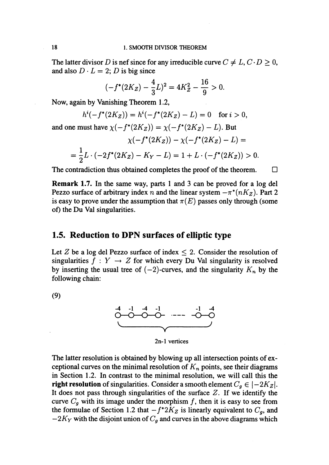The latter divisor D is nef since for any irreducible curve  $C\neq L, C\cdot D\geq 0,$ and also  $D \cdot L=2$ ; D is big since

$$
(-f^*(2K_Z) - \frac{4}{3}L)^2 = 4K_Z^2 - \frac{16}{9} > 0.
$$

Now, again by Vanishing Theorem 1.2,

$$
h^{i}(-f^{*}(2K_{Z}))=h^{i}(-f^{*}(2K_{Z})-L)=0 \text{ for } i>0,
$$

and one must have  $\chi(-f^{*}(2K_{Z}))=\chi(-f^{*}(2K_{Z})-L)$ . But

$$
\chi(-f^*(2K_Z)) - \chi(-f^*(2K_Z) - L) =
$$

$$
=\frac{1}{2}L\cdot(-2f^*(2K_Z)-K_Y-L)=1+L\cdot(-f^*(2K_Z))>0.
$$

The contradiction thus obtained completes the proof of the theorem.  $\Box$ 

**Remark 1.7.** In the same way, parts 1 and 3 can be proved for a  $\log$  del Pezzo surface of arbitrary index n and the linear system  $-\pi^{*}(nK_{Z})$ . Part 2 is easy to prove under the assumption that  $\pi(E)$  passes only through (some of) the Du Val singularities.

## 1.5. Reduction to DPN surfaces of elliptic type

Let Z be a log del Pezzo surface of index  $\leq 2$ . Consider the resolution of singularities  $f : Y \rightarrow Z$  for which every Du Val singularity is resolved by inserting the usual tree of  $(-2)$ -curves, and the singularity  $K_{n}$  by the following chain:

(9)



2n-l vertices

The latter resolution is obtained by blowing up all intersection points of exceptional curves on the minimal resolution of  $K_{n}$  points, see their diagrams in Section 1.2. In contrast to the minimal resolution, we will call this the right resolution of singularities. Consider a smooth element  $C_{g}\in|-2K_{Z}|$ . It does not pass through singularities of the surface  $Z$ . If we identify the curve  $C_{g}$  with its image under the morphism f, then it is easy to see from the formulae of Section 1.2 that  $-f^{*2}K_{Z}$  is linearly equivalent to  $C_{g}$ , and  $-2K_{Y}$  with the disjoint union of  $C_{g}$  and curves in the above diagrams which